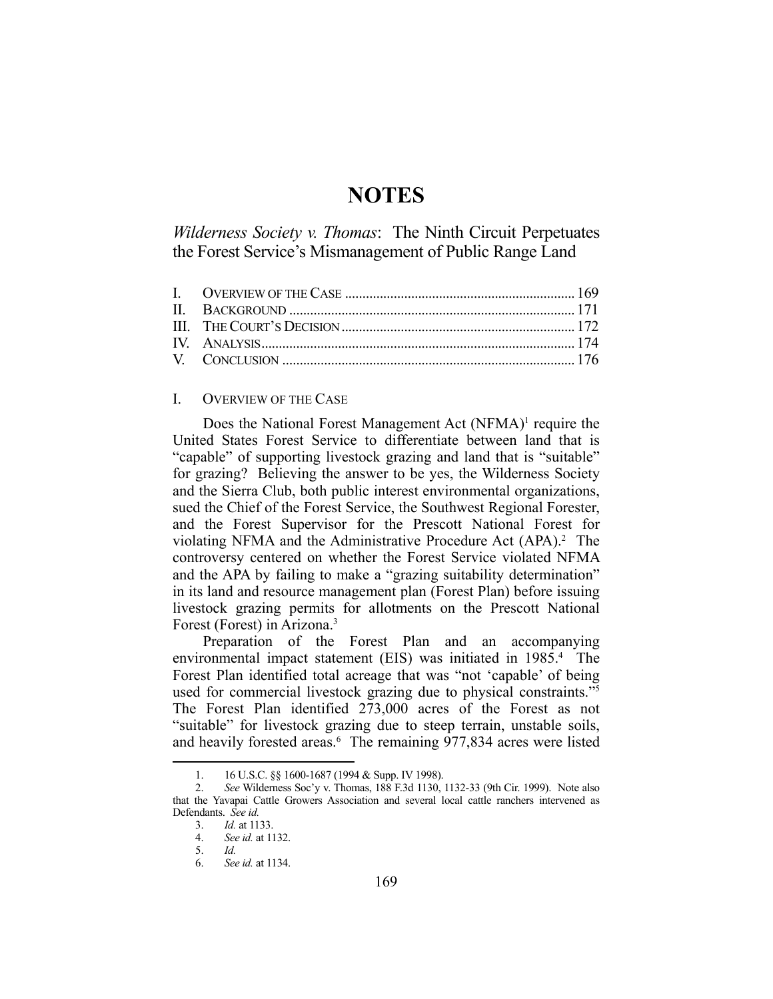# **NOTES**

*Wilderness Society v. Thomas*: The Ninth Circuit Perpetuates the Forest Service's Mismanagement of Public Range Land

### I. OVERVIEW OF THE CASE

Does the National Forest Management Act (NFMA)<sup>1</sup> require the United States Forest Service to differentiate between land that is "capable" of supporting livestock grazing and land that is "suitable" for grazing? Believing the answer to be yes, the Wilderness Society and the Sierra Club, both public interest environmental organizations, sued the Chief of the Forest Service, the Southwest Regional Forester, and the Forest Supervisor for the Prescott National Forest for violating NFMA and the Administrative Procedure Act (APA).<sup>2</sup> The controversy centered on whether the Forest Service violated NFMA and the APA by failing to make a "grazing suitability determination" in its land and resource management plan (Forest Plan) before issuing livestock grazing permits for allotments on the Prescott National Forest (Forest) in Arizona.3

Preparation of the Forest Plan and an accompanying environmental impact statement (EIS) was initiated in 1985.<sup>4</sup> The Forest Plan identified total acreage that was "not 'capable' of being used for commercial livestock grazing due to physical constraints."5 The Forest Plan identified 273,000 acres of the Forest as not "suitable" for livestock grazing due to steep terrain, unstable soils, and heavily forested areas.<sup>6</sup> The remaining 977,834 acres were listed

 <sup>1. 16</sup> U.S.C. §§ 1600-1687 (1994 & Supp. IV 1998).

 <sup>2.</sup> *See* Wilderness Soc'y v. Thomas, 188 F.3d 1130, 1132-33 (9th Cir. 1999). Note also that the Yavapai Cattle Growers Association and several local cattle ranchers intervened as Defendants. *See id.*

 <sup>3.</sup> *Id.* at 1133.

 <sup>4.</sup> *See id.* at 1132.

 <sup>5.</sup> *Id.*

 <sup>6.</sup> *See id.* at 1134.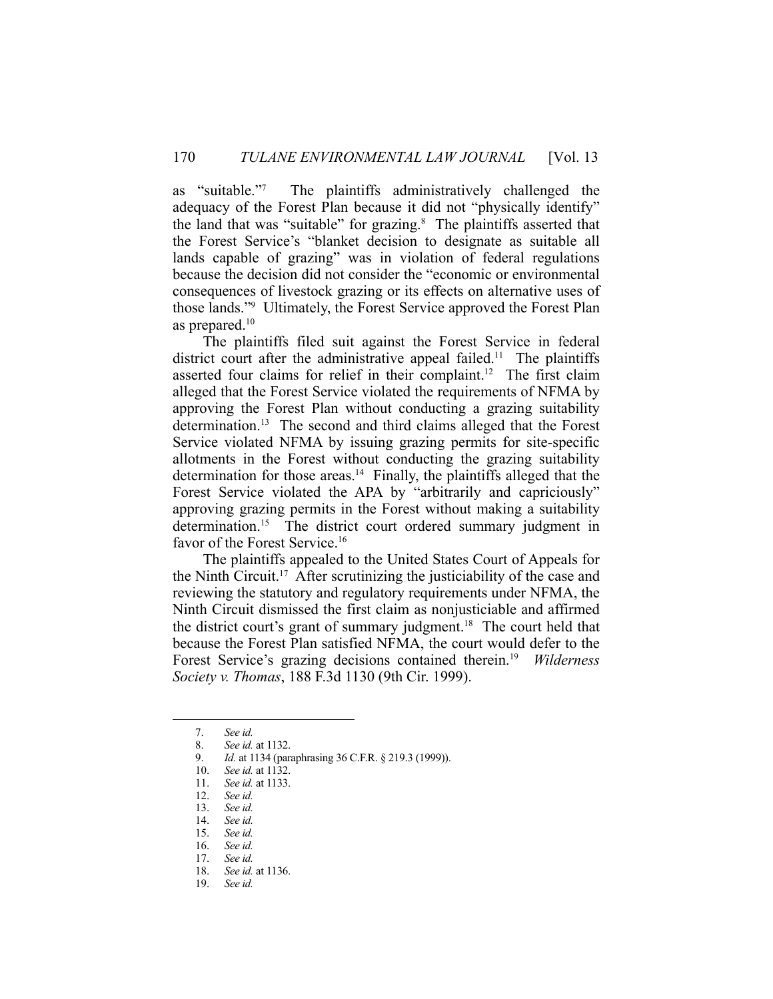as "suitable."7 The plaintiffs administratively challenged the adequacy of the Forest Plan because it did not "physically identify" the land that was "suitable" for grazing.<sup>8</sup> The plaintiffs asserted that the Forest Service's "blanket decision to designate as suitable all lands capable of grazing" was in violation of federal regulations because the decision did not consider the "economic or environmental consequences of livestock grazing or its effects on alternative uses of those lands."9 Ultimately, the Forest Service approved the Forest Plan as prepared.10

 The plaintiffs filed suit against the Forest Service in federal district court after the administrative appeal failed.<sup>11</sup> The plaintiffs asserted four claims for relief in their complaint.<sup>12</sup> The first claim alleged that the Forest Service violated the requirements of NFMA by approving the Forest Plan without conducting a grazing suitability determination.<sup>13</sup> The second and third claims alleged that the Forest Service violated NFMA by issuing grazing permits for site-specific allotments in the Forest without conducting the grazing suitability determination for those areas.<sup>14</sup> Finally, the plaintiffs alleged that the Forest Service violated the APA by "arbitrarily and capriciously" approving grazing permits in the Forest without making a suitability determination.<sup>15</sup> The district court ordered summary judgment in favor of the Forest Service.<sup>16</sup>

 The plaintiffs appealed to the United States Court of Appeals for the Ninth Circuit.17 After scrutinizing the justiciability of the case and reviewing the statutory and regulatory requirements under NFMA, the Ninth Circuit dismissed the first claim as nonjusticiable and affirmed the district court's grant of summary judgment.<sup>18</sup> The court held that because the Forest Plan satisfied NFMA, the court would defer to the Forest Service's grazing decisions contained therein.19 *Wilderness Society v. Thomas*, 188 F.3d 1130 (9th Cir. 1999).

 <sup>7.</sup> *See id.*

 <sup>8.</sup> *See id.* at 1132.

 <sup>9.</sup> *Id.* at 1134 (paraphrasing 36 C.F.R. § 219.3 (1999)).

 <sup>10.</sup> *See id.* at 1132.

 <sup>11.</sup> *See id.* at 1133.

 <sup>12.</sup> *See id.*

 <sup>13.</sup> *See id.*

 <sup>14.</sup> *See id.*

 <sup>15.</sup> *See id.*

 <sup>16.</sup> *See id.*

 <sup>17.</sup> *See id.*

 <sup>18.</sup> *See id.* at 1136.

 <sup>19.</sup> *See id.*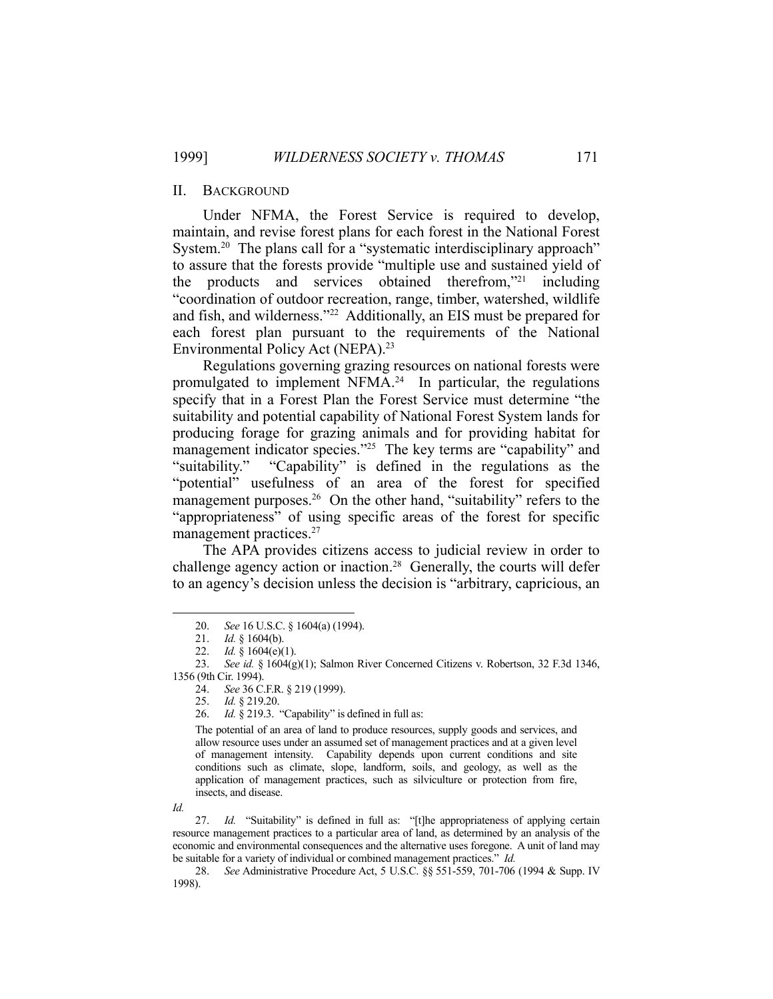#### II. BACKGROUND

 Under NFMA, the Forest Service is required to develop, maintain, and revise forest plans for each forest in the National Forest System.<sup>20</sup> The plans call for a "systematic interdisciplinary approach" to assure that the forests provide "multiple use and sustained yield of the products and services obtained therefrom,"21 including "coordination of outdoor recreation, range, timber, watershed, wildlife and fish, and wilderness."22 Additionally, an EIS must be prepared for each forest plan pursuant to the requirements of the National Environmental Policy Act (NEPA).23

 Regulations governing grazing resources on national forests were promulgated to implement NFMA.24 In particular, the regulations specify that in a Forest Plan the Forest Service must determine "the suitability and potential capability of National Forest System lands for producing forage for grazing animals and for providing habitat for management indicator species."<sup>25</sup> The key terms are "capability" and "suitability." "Capability" is defined in the regulations as the "potential" usefulness of an area of the forest for specified management purposes.<sup>26</sup> On the other hand, "suitability" refers to the "appropriateness" of using specific areas of the forest for specific management practices.<sup>27</sup>

 The APA provides citizens access to judicial review in order to challenge agency action or inaction.<sup>28</sup> Generally, the courts will defer to an agency's decision unless the decision is "arbitrary, capricious, an

24. *See* 36 C.F.R. § 219 (1999).

The potential of an area of land to produce resources, supply goods and services, and allow resource uses under an assumed set of management practices and at a given level of management intensity. Capability depends upon current conditions and site conditions such as climate, slope, landform, soils, and geology, as well as the application of management practices, such as silviculture or protection from fire, insects, and disease.

*Id.*

 <sup>20.</sup> *See* 16 U.S.C. § 1604(a) (1994).

 <sup>21.</sup> *Id.* § 1604(b).

 <sup>22.</sup> *Id.* § 1604(e)(1).

 <sup>23.</sup> *See id.* § 1604(g)(1); Salmon River Concerned Citizens v. Robertson, 32 F.3d 1346, 1356 (9th Cir. 1994).

 <sup>25.</sup> *Id.* § 219.20.

 <sup>26.</sup> *Id.* § 219.3. "Capability" is defined in full as:

<sup>27.</sup> *Id.* "Suitability" is defined in full as: "[t]he appropriateness of applying certain resource management practices to a particular area of land, as determined by an analysis of the economic and environmental consequences and the alternative uses foregone. A unit of land may be suitable for a variety of individual or combined management practices." *Id.*

 <sup>28.</sup> *See* Administrative Procedure Act, 5 U.S.C. §§ 551-559, 701-706 (1994 & Supp. IV 1998).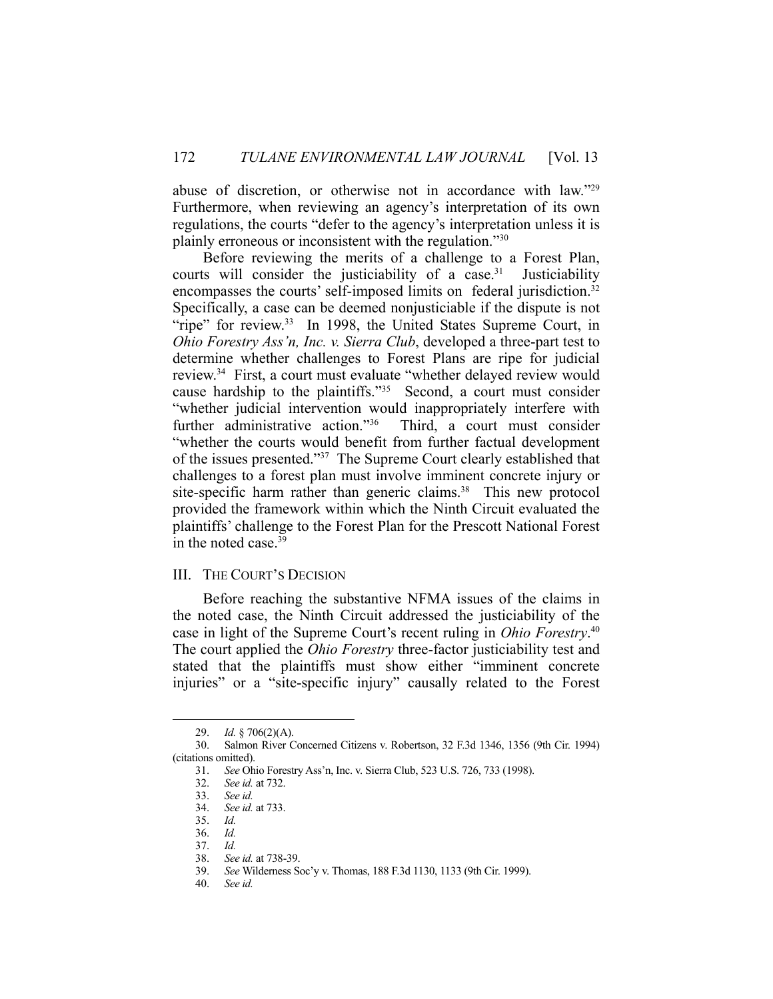abuse of discretion, or otherwise not in accordance with law."29 Furthermore, when reviewing an agency's interpretation of its own regulations, the courts "defer to the agency's interpretation unless it is plainly erroneous or inconsistent with the regulation."30

 Before reviewing the merits of a challenge to a Forest Plan, courts will consider the justiciability of a case.<sup>31</sup> Justiciability encompasses the courts' self-imposed limits on federal jurisdiction.<sup>32</sup> Specifically, a case can be deemed nonjusticiable if the dispute is not "ripe" for review.<sup>33</sup> In 1998, the United States Supreme Court, in *Ohio Forestry Ass'n, Inc. v. Sierra Club*, developed a three-part test to determine whether challenges to Forest Plans are ripe for judicial review.34 First, a court must evaluate "whether delayed review would cause hardship to the plaintiffs."35 Second, a court must consider "whether judicial intervention would inappropriately interfere with further administrative action."<sup>36</sup> Third, a court must consider "whether the courts would benefit from further factual development of the issues presented."37 The Supreme Court clearly established that challenges to a forest plan must involve imminent concrete injury or site-specific harm rather than generic claims.<sup>38</sup> This new protocol provided the framework within which the Ninth Circuit evaluated the plaintiffs' challenge to the Forest Plan for the Prescott National Forest in the noted case. $39$ 

## III. THE COURT'S DECISION

 Before reaching the substantive NFMA issues of the claims in the noted case, the Ninth Circuit addressed the justiciability of the case in light of the Supreme Court's recent ruling in *Ohio Forestry*. 40 The court applied the *Ohio Forestry* three-factor justiciability test and stated that the plaintiffs must show either "imminent concrete injuries" or a "site-specific injury" causally related to the Forest

 <sup>29.</sup> *Id.* § 706(2)(A).

 <sup>30.</sup> Salmon River Concerned Citizens v. Robertson, 32 F.3d 1346, 1356 (9th Cir. 1994) (citations omitted).

 <sup>31.</sup> *See* Ohio Forestry Ass'n, Inc. v. Sierra Club, 523 U.S. 726, 733 (1998).

 <sup>32.</sup> *See id.* at 732.

 <sup>33.</sup> *See id.*

 <sup>34.</sup> *See id.* at 733.

 <sup>35.</sup> *Id.*

 <sup>36.</sup> *Id.*

 <sup>37.</sup> *Id.*

 <sup>38.</sup> *See id.* at 738-39.

 <sup>39.</sup> *See* Wilderness Soc'y v. Thomas, 188 F.3d 1130, 1133 (9th Cir. 1999).

 <sup>40.</sup> *See id.*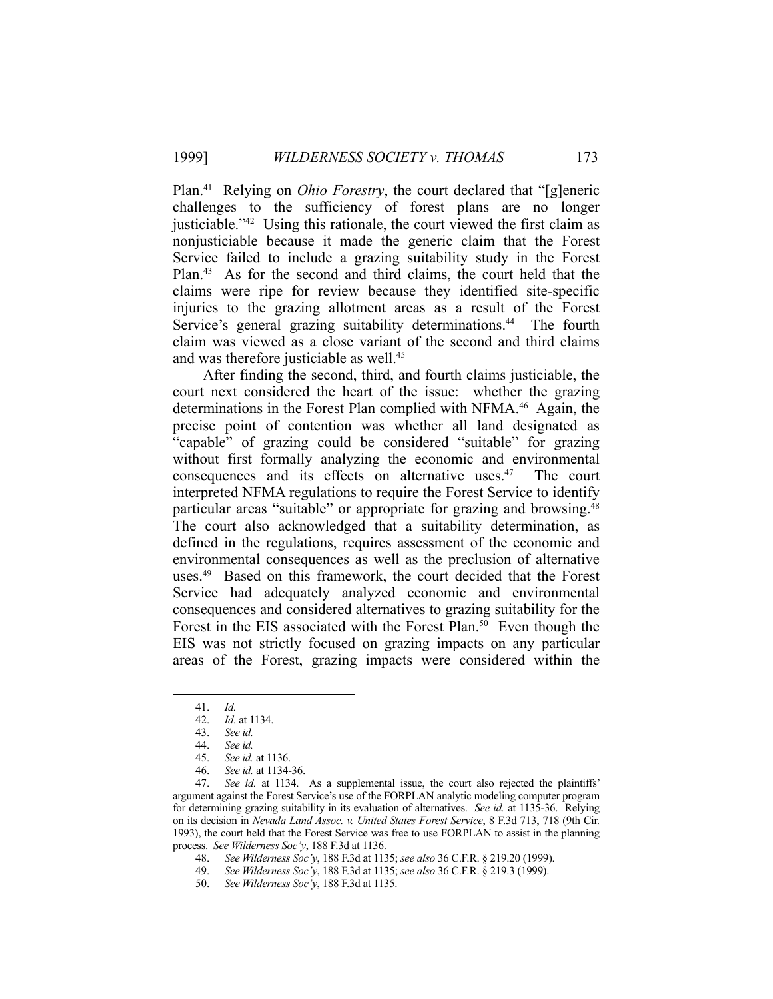Plan.41 Relying on *Ohio Forestry*, the court declared that "[g]eneric challenges to the sufficiency of forest plans are no longer justiciable."42 Using this rationale, the court viewed the first claim as nonjusticiable because it made the generic claim that the Forest Service failed to include a grazing suitability study in the Forest Plan.43 As for the second and third claims, the court held that the claims were ripe for review because they identified site-specific injuries to the grazing allotment areas as a result of the Forest Service's general grazing suitability determinations.<sup>44</sup> The fourth claim was viewed as a close variant of the second and third claims and was therefore justiciable as well.<sup>45</sup>

 After finding the second, third, and fourth claims justiciable, the court next considered the heart of the issue: whether the grazing determinations in the Forest Plan complied with NFMA.46 Again, the precise point of contention was whether all land designated as "capable" of grazing could be considered "suitable" for grazing without first formally analyzing the economic and environmental consequences and its effects on alternative uses.47 The court interpreted NFMA regulations to require the Forest Service to identify particular areas "suitable" or appropriate for grazing and browsing.<sup>48</sup> The court also acknowledged that a suitability determination, as defined in the regulations, requires assessment of the economic and environmental consequences as well as the preclusion of alternative uses.<sup>49</sup> Based on this framework, the court decided that the Forest Service had adequately analyzed economic and environmental consequences and considered alternatives to grazing suitability for the Forest in the EIS associated with the Forest Plan.<sup>50</sup> Even though the EIS was not strictly focused on grazing impacts on any particular areas of the Forest, grazing impacts were considered within the

 <sup>41.</sup> *Id.*

 <sup>42.</sup> *Id.* at 1134.

 <sup>43.</sup> *See id.*

 <sup>44.</sup> *See id.*

 <sup>45.</sup> *See id.* at 1136.

 <sup>46.</sup> *See id.* at 1134-36.

 <sup>47.</sup> *See id.* at 1134. As a supplemental issue, the court also rejected the plaintiffs' argument against the Forest Service's use of the FORPLAN analytic modeling computer program for determining grazing suitability in its evaluation of alternatives. *See id.* at 1135-36. Relying on its decision in *Nevada Land Assoc. v. United States Forest Service*, 8 F.3d 713, 718 (9th Cir. 1993), the court held that the Forest Service was free to use FORPLAN to assist in the planning process. *See Wilderness Soc'y*, 188 F.3d at 1136.

 <sup>48.</sup> *See Wilderness Soc'y*, 188 F.3d at 1135; *see also* 36 C.F.R. § 219.20 (1999).

 <sup>49.</sup> *See Wilderness Soc'y*, 188 F.3d at 1135; *see also* 36 C.F.R. § 219.3 (1999).

 <sup>50.</sup> *See Wilderness Soc'y*, 188 F.3d at 1135.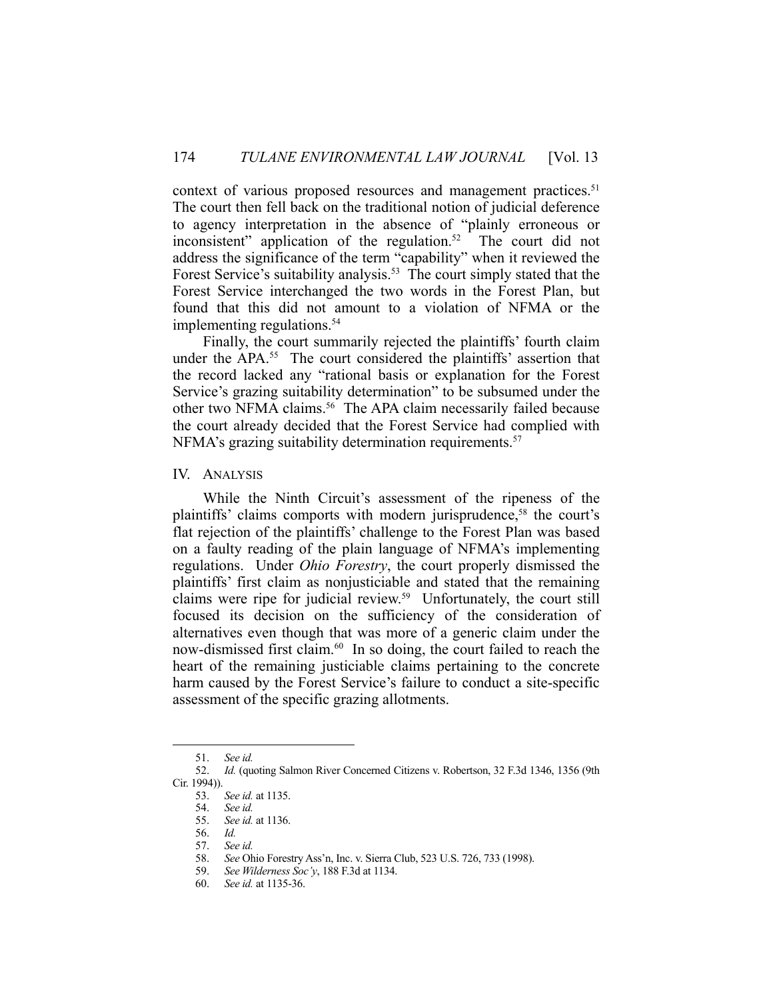context of various proposed resources and management practices.<sup>51</sup> The court then fell back on the traditional notion of judicial deference to agency interpretation in the absence of "plainly erroneous or inconsistent" application of the regulation.52 The court did not address the significance of the term "capability" when it reviewed the Forest Service's suitability analysis.<sup>53</sup> The court simply stated that the Forest Service interchanged the two words in the Forest Plan, but found that this did not amount to a violation of NFMA or the implementing regulations.<sup>54</sup>

 Finally, the court summarily rejected the plaintiffs' fourth claim under the APA.<sup>55</sup> The court considered the plaintiffs' assertion that the record lacked any "rational basis or explanation for the Forest Service's grazing suitability determination" to be subsumed under the other two NFMA claims.<sup>56</sup> The APA claim necessarily failed because the court already decided that the Forest Service had complied with NFMA's grazing suitability determination requirements.<sup>57</sup>

IV. ANALYSIS

 While the Ninth Circuit's assessment of the ripeness of the plaintiffs' claims comports with modern jurisprudence,<sup>58</sup> the court's flat rejection of the plaintiffs' challenge to the Forest Plan was based on a faulty reading of the plain language of NFMA's implementing regulations. Under *Ohio Forestry*, the court properly dismissed the plaintiffs' first claim as nonjusticiable and stated that the remaining claims were ripe for judicial review.59 Unfortunately, the court still focused its decision on the sufficiency of the consideration of alternatives even though that was more of a generic claim under the now-dismissed first claim.<sup>60</sup> In so doing, the court failed to reach the heart of the remaining justiciable claims pertaining to the concrete harm caused by the Forest Service's failure to conduct a site-specific assessment of the specific grazing allotments.

 <sup>51.</sup> *See id.*

 <sup>52.</sup> *Id.* (quoting Salmon River Concerned Citizens v. Robertson, 32 F.3d 1346, 1356 (9th Cir. 1994)).

 <sup>53.</sup> *See id.* at 1135.

 <sup>54.</sup> *See id.*

 <sup>55.</sup> *See id.* at 1136.

 <sup>56.</sup> *Id.*

 <sup>57.</sup> *See id.*

 <sup>58.</sup> *See* Ohio Forestry Ass'n, Inc. v. Sierra Club, 523 U.S. 726, 733 (1998).

 <sup>59.</sup> *See Wilderness Soc'y*, 188 F.3d at 1134.

 <sup>60.</sup> *See id.* at 1135-36.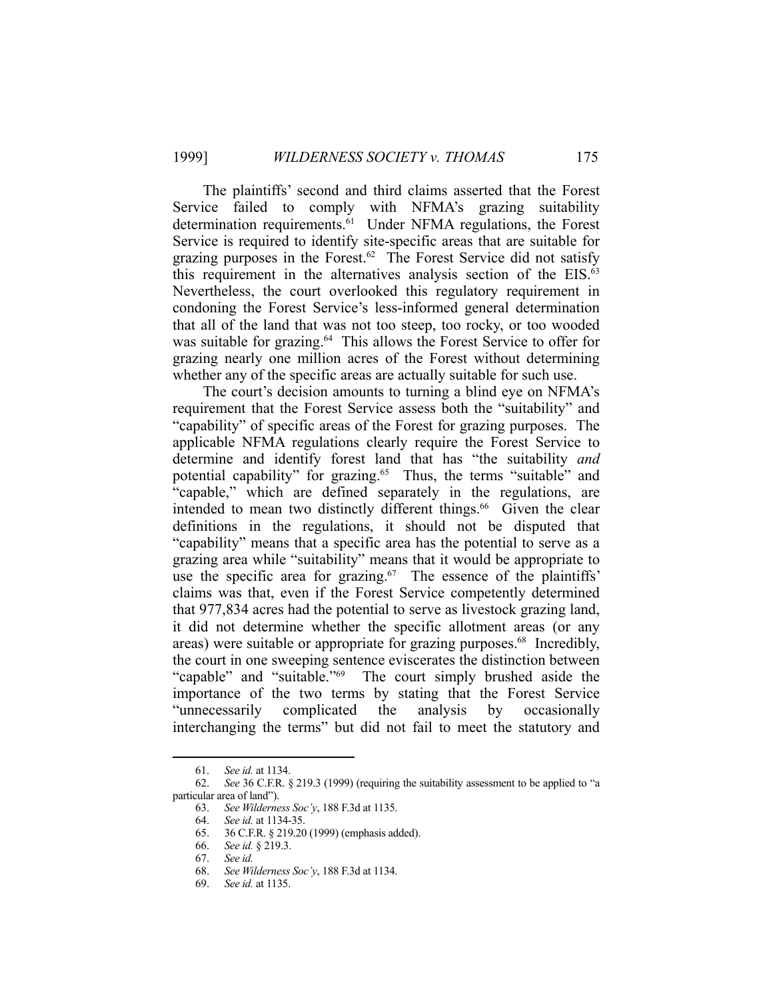The plaintiffs' second and third claims asserted that the Forest Service failed to comply with NFMA's grazing suitability determination requirements.<sup>61</sup> Under NFMA regulations, the Forest Service is required to identify site-specific areas that are suitable for grazing purposes in the Forest.<sup>62</sup> The Forest Service did not satisfy this requirement in the alternatives analysis section of the EIS.<sup>63</sup> Nevertheless, the court overlooked this regulatory requirement in condoning the Forest Service's less-informed general determination that all of the land that was not too steep, too rocky, or too wooded was suitable for grazing.<sup>64</sup> This allows the Forest Service to offer for grazing nearly one million acres of the Forest without determining whether any of the specific areas are actually suitable for such use.

 The court's decision amounts to turning a blind eye on NFMA's requirement that the Forest Service assess both the "suitability" and "capability" of specific areas of the Forest for grazing purposes. The applicable NFMA regulations clearly require the Forest Service to determine and identify forest land that has "the suitability *and* potential capability" for grazing.<sup>65</sup> Thus, the terms "suitable" and "capable," which are defined separately in the regulations, are intended to mean two distinctly different things.<sup>66</sup> Given the clear definitions in the regulations, it should not be disputed that "capability" means that a specific area has the potential to serve as a grazing area while "suitability" means that it would be appropriate to use the specific area for grazing. $67$  The essence of the plaintiffs' claims was that, even if the Forest Service competently determined that 977,834 acres had the potential to serve as livestock grazing land, it did not determine whether the specific allotment areas (or any areas) were suitable or appropriate for grazing purposes.<sup>68</sup> Incredibly, the court in one sweeping sentence eviscerates the distinction between "capable" and "suitable."69 The court simply brushed aside the importance of the two terms by stating that the Forest Service "unnecessarily complicated the analysis by occasionally interchanging the terms" but did not fail to meet the statutory and

 <sup>61.</sup> *See id.* at 1134.

 <sup>62.</sup> *See* 36 C.F.R. § 219.3 (1999) (requiring the suitability assessment to be applied to "a particular area of land").

 <sup>63.</sup> *See Wilderness Soc'y*, 188 F.3d at 1135.

 <sup>64.</sup> *See id.* at 1134-35.

 <sup>65. 36</sup> C.F.R. § 219.20 (1999) (emphasis added).

 <sup>66.</sup> *See id.* § 219.3.

 <sup>67.</sup> *See id.*

 <sup>68.</sup> *See Wilderness Soc'y*, 188 F.3d at 1134.

 <sup>69.</sup> *See id.* at 1135.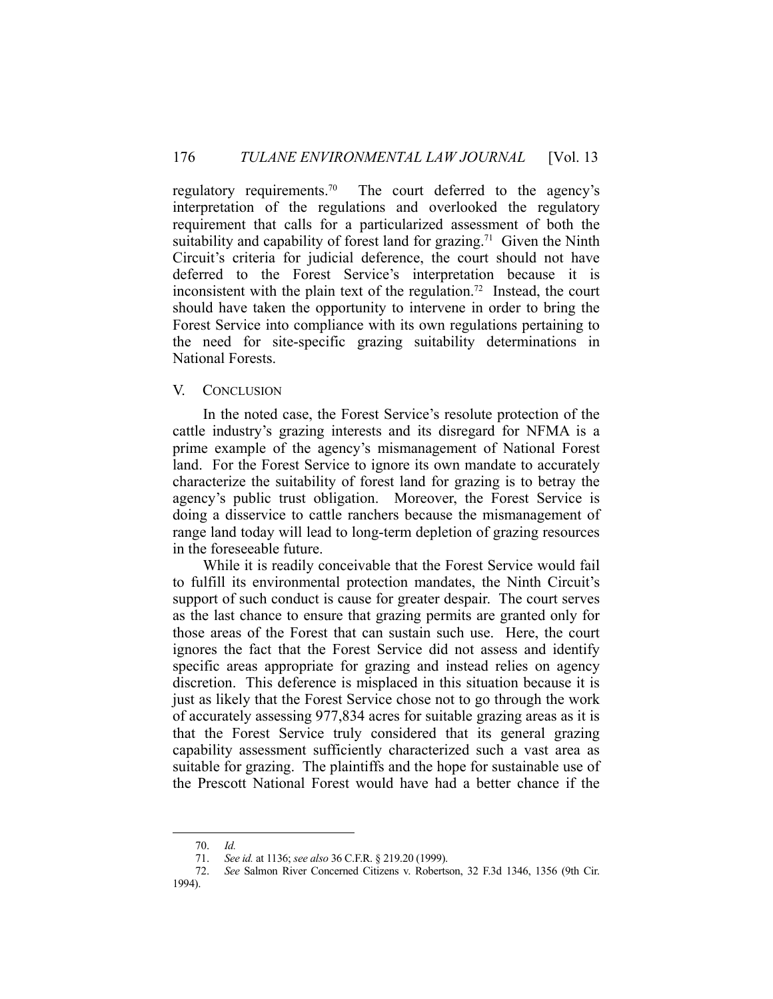regulatory requirements.<sup>70</sup> The court deferred to the agency's interpretation of the regulations and overlooked the regulatory requirement that calls for a particularized assessment of both the suitability and capability of forest land for grazing.<sup>71</sup> Given the Ninth Circuit's criteria for judicial deference, the court should not have deferred to the Forest Service's interpretation because it is inconsistent with the plain text of the regulation.<sup>72</sup> Instead, the court should have taken the opportunity to intervene in order to bring the Forest Service into compliance with its own regulations pertaining to the need for site-specific grazing suitability determinations in National Forests.

#### V. CONCLUSION

 In the noted case, the Forest Service's resolute protection of the cattle industry's grazing interests and its disregard for NFMA is a prime example of the agency's mismanagement of National Forest land. For the Forest Service to ignore its own mandate to accurately characterize the suitability of forest land for grazing is to betray the agency's public trust obligation. Moreover, the Forest Service is doing a disservice to cattle ranchers because the mismanagement of range land today will lead to long-term depletion of grazing resources in the foreseeable future.

 While it is readily conceivable that the Forest Service would fail to fulfill its environmental protection mandates, the Ninth Circuit's support of such conduct is cause for greater despair. The court serves as the last chance to ensure that grazing permits are granted only for those areas of the Forest that can sustain such use. Here, the court ignores the fact that the Forest Service did not assess and identify specific areas appropriate for grazing and instead relies on agency discretion. This deference is misplaced in this situation because it is just as likely that the Forest Service chose not to go through the work of accurately assessing 977,834 acres for suitable grazing areas as it is that the Forest Service truly considered that its general grazing capability assessment sufficiently characterized such a vast area as suitable for grazing. The plaintiffs and the hope for sustainable use of the Prescott National Forest would have had a better chance if the

 <sup>70.</sup> *Id.*

 <sup>71.</sup> *See id.* at 1136; *see also* 36 C.F.R. § 219.20 (1999).

 <sup>72.</sup> *See* Salmon River Concerned Citizens v. Robertson, 32 F.3d 1346, 1356 (9th Cir. 1994).